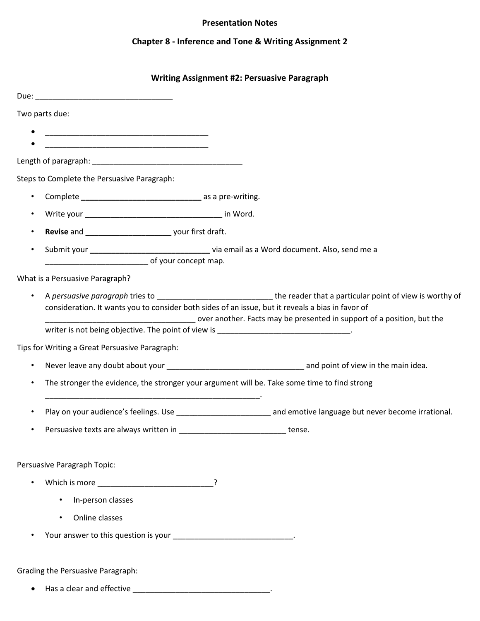### **Presentation Notes**

# **Chapter 8 - Inference and Tone & Writing Assignment 2**

### **Writing Assignment #2: Persuasive Paragraph**

| Two parts due:                                                                               |                                                                                                                                                                             |  |  |  |  |
|----------------------------------------------------------------------------------------------|-----------------------------------------------------------------------------------------------------------------------------------------------------------------------------|--|--|--|--|
|                                                                                              |                                                                                                                                                                             |  |  |  |  |
|                                                                                              | <u> 1989 - Johann John Stone, markin film yn y brening yn y brening yn y brening yn y brening yn y brening yn y b</u>                                                       |  |  |  |  |
|                                                                                              |                                                                                                                                                                             |  |  |  |  |
|                                                                                              | Steps to Complete the Persuasive Paragraph:                                                                                                                                 |  |  |  |  |
| $\bullet$                                                                                    |                                                                                                                                                                             |  |  |  |  |
|                                                                                              |                                                                                                                                                                             |  |  |  |  |
|                                                                                              |                                                                                                                                                                             |  |  |  |  |
| $\bullet$                                                                                    | Submit your __________________________________ via email as a Word document. Also, send me a                                                                                |  |  |  |  |
| of your concept map.                                                                         |                                                                                                                                                                             |  |  |  |  |
|                                                                                              | What is a Persuasive Paragraph?                                                                                                                                             |  |  |  |  |
| $\bullet$                                                                                    |                                                                                                                                                                             |  |  |  |  |
|                                                                                              | consideration. It wants you to consider both sides of an issue, but it reveals a bias in favor of<br>over another. Facts may be presented in support of a position, but the |  |  |  |  |
|                                                                                              | writer is not being objective. The point of view is _____________________________                                                                                           |  |  |  |  |
|                                                                                              | Tips for Writing a Great Persuasive Paragraph:                                                                                                                              |  |  |  |  |
| $\bullet$                                                                                    |                                                                                                                                                                             |  |  |  |  |
| The stronger the evidence, the stronger your argument will be. Take some time to find strong |                                                                                                                                                                             |  |  |  |  |
|                                                                                              | Play on your audience's feelings. Use example and emotive language but never become irrational.                                                                             |  |  |  |  |
|                                                                                              | Persuasive texts are always written in<br>tense.                                                                                                                            |  |  |  |  |
|                                                                                              |                                                                                                                                                                             |  |  |  |  |
|                                                                                              | Persuasive Paragraph Topic:                                                                                                                                                 |  |  |  |  |
|                                                                                              |                                                                                                                                                                             |  |  |  |  |
|                                                                                              | In-person classes                                                                                                                                                           |  |  |  |  |
|                                                                                              | Online classes                                                                                                                                                              |  |  |  |  |
|                                                                                              | Your answer to this question is your ________________________________.                                                                                                      |  |  |  |  |
|                                                                                              |                                                                                                                                                                             |  |  |  |  |
| Grading the Persuasive Paragraph:                                                            |                                                                                                                                                                             |  |  |  |  |
|                                                                                              |                                                                                                                                                                             |  |  |  |  |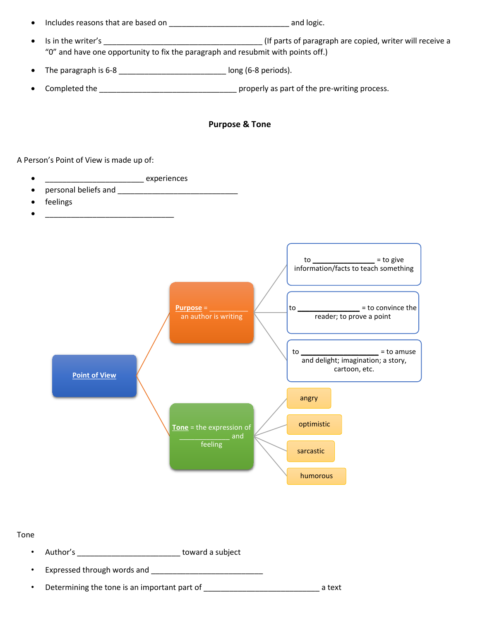# • Includes reasons that are based on \_\_\_\_\_\_\_\_\_\_\_\_\_\_\_\_\_\_\_\_\_\_\_\_\_\_\_\_ and logic.

- Is in the writer's \_\_\_\_\_\_\_\_\_\_\_\_\_\_\_\_\_\_\_\_\_\_\_\_\_\_\_\_\_\_\_\_\_\_\_\_\_ (If parts of paragraph are copied, writer will receive a "0" and have one opportunity to fix the paragraph and resubmit with points off.)
- The paragraph is  $6-8$  \_\_\_\_\_\_\_\_\_\_\_\_\_\_\_\_\_\_\_\_\_\_\_\_\_\_\_\_\_\_\_\_\_\_ long (6-8 periods).
- Completed the \_\_\_\_\_\_\_\_\_\_\_\_\_\_\_\_\_\_\_\_\_\_\_\_\_\_\_\_\_\_\_\_ properly as part of the pre-writing process.

#### **Purpose & Tone**

A Person's Point of View is made up of:

• \_\_\_\_\_\_\_\_\_\_\_\_\_\_\_\_\_\_\_\_\_\_\_\_\_\_ experiences

 $\bullet$   $\qquad \qquad$   $\qquad$   $\qquad$   $\qquad$   $\qquad$   $\qquad$   $\qquad$   $\qquad$   $\qquad$   $\qquad$   $\qquad$   $\qquad$   $\qquad$   $\qquad$   $\qquad$   $\qquad$   $\qquad$   $\qquad$   $\qquad$   $\qquad$   $\qquad$   $\qquad$   $\qquad$   $\qquad$   $\qquad$   $\qquad$   $\qquad$   $\qquad$   $\qquad$   $\qquad$   $\qquad$   $\qquad$   $\qquad$   $\qquad$   $\qquad$   $\q$ 

- personal beliefs and **Exercise 20**
- feelings



#### Tone

- Author's \_\_\_\_\_\_\_\_\_\_\_\_\_\_\_\_\_\_\_\_\_\_\_\_ toward a subject
- Expressed through words and \_\_\_\_\_\_\_\_\_\_\_\_\_\_\_\_\_\_\_\_\_\_\_\_\_\_
- Determining the tone is an important part of electron and the state at text